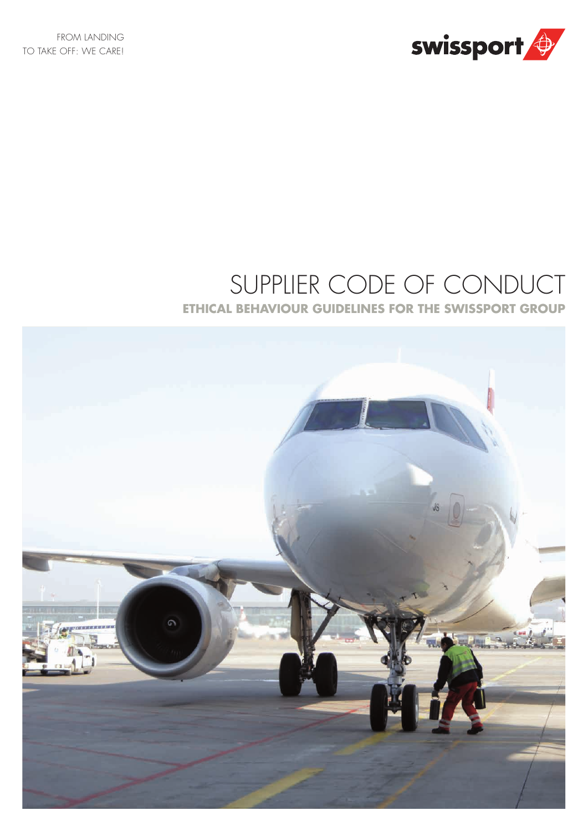

# SUPPLIER CODE OF CONDUCT

**ETHICAL BEHAVIOUR GUIDELINES FOR THE SWISSPORT GROUP**

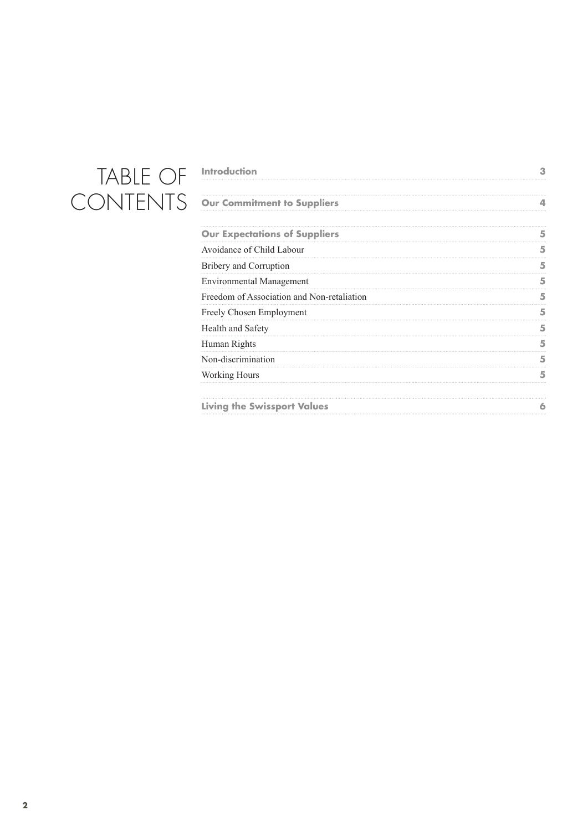## TABLE OF CONTENTS

| <b>Introduction</b>                        |   |
|--------------------------------------------|---|
| <b>Our Commitment to Suppliers</b>         |   |
| <b>Our Expectations of Suppliers</b>       |   |
| Avoidance of Child Labour                  |   |
| Bribery and Corruption                     |   |
| <b>Environmental Management</b>            |   |
| Freedom of Association and Non-retaliation |   |
| Freely Chosen Employment                   | 5 |
| Health and Safety                          |   |
| Human Rights                               | 5 |
| Non-discrimination                         | 5 |
| <b>Working Hours</b>                       |   |
| <b>Living the Swissport Values</b>         | a |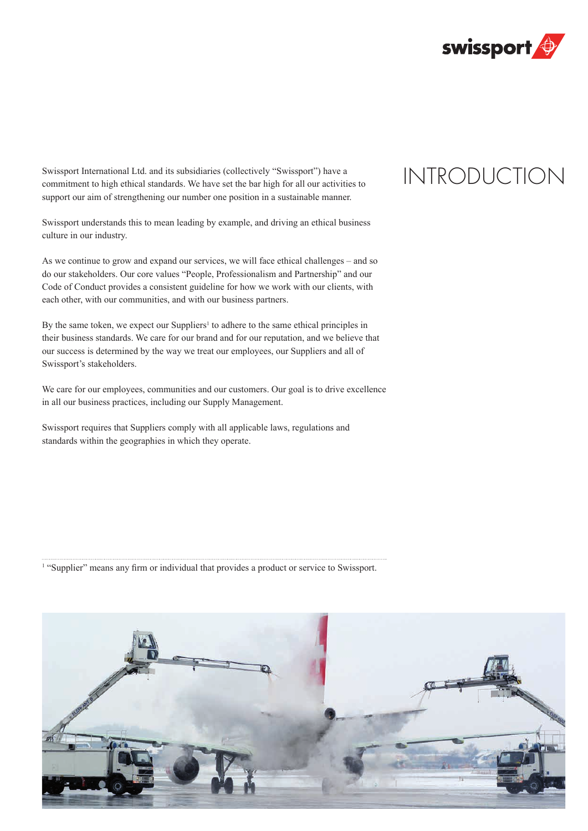

Swissport International Ltd. and its subsidiaries (collectively "Swissport") have a commitment to high ethical standards. We have set the bar high for all our activities to support our aim of strengthening our number one position in a sustainable manner.

Swissport understands this to mean leading by example, and driving an ethical business culture in our industry.

As we continue to grow and expand our services, we will face ethical challenges – and so do our stakeholders. Our core values "People, Professionalism and Partnership" and our Code of Conduct provides a consistent guideline for how we work with our clients, with each other, with our communities, and with our business partners.

By the same token, we expect our Suppliers<sup>1</sup> to adhere to the same ethical principles in their business standards. We care for our brand and for our reputation, and we believe that our success is determined by the way we treat our employees, our Suppliers and all of Swissport's stakeholders.

We care for our employees, communities and our customers. Our goal is to drive excellence in all our business practices, including our Supply Management.

Swissport requires that Suppliers comply with all applicable laws, regulations and standards within the geographies in which they operate.

<sup>1</sup> "Supplier" means any firm or individual that provides a product or service to Swissport.



### INTRODUCTION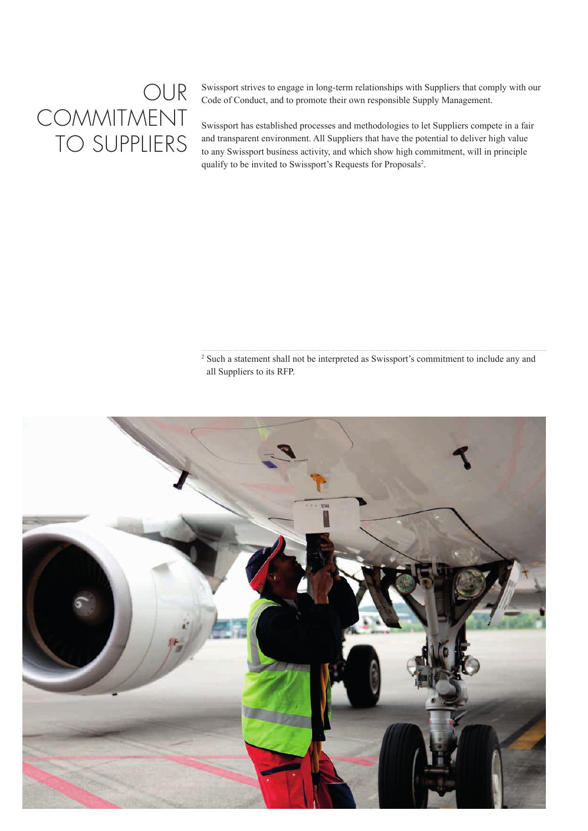### OUR COMMITMENT TO SUPPLIERS

Swissport strives to engage in long-term relationships with Suppliers that comply with our Code of Conduct, and to promote their own responsible Supply Management.

Swissport has established processes and methodologies to let Suppliers compete in a fair and transparent environment. All Suppliers that have the potential to deliver high value to any Swissport business activity, and which show high commitment, will in principle qualify to be invited to Swissport's Requests for Proposals<sup>2</sup>.

<sup>2</sup> Such a statement shall not be interpreted as Swissport's commitment to include any and all Suppliers to its RFP.

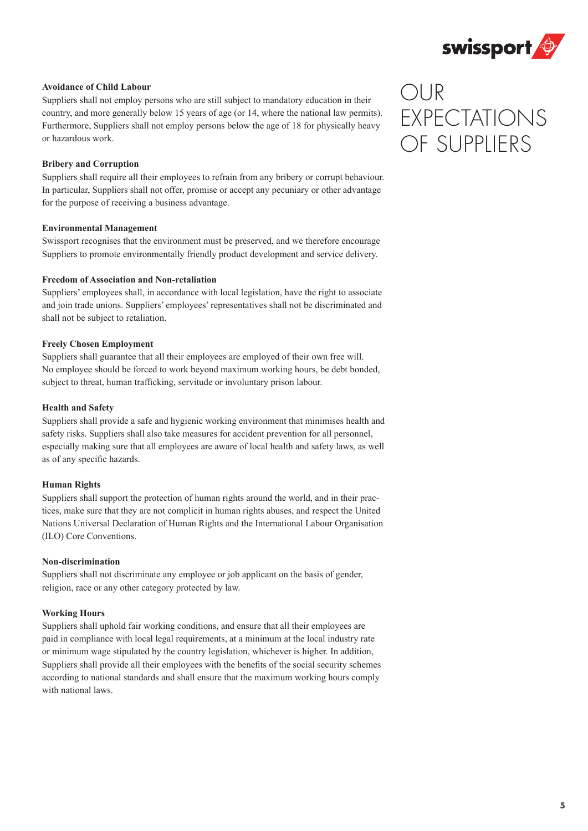

### **Avoidance of Child Labour**

Suppliers shall not employ persons who are still subject to mandatory education in their country, and more generally below 15 years of age (or 14, where the national law permits). Furthermore, Suppliers shall not employ persons below the age of 18 for physically heavy or hazardous work.

#### **Bribery and Corruption**

Suppliers shall require all their employees to refrain from any bribery or corrupt behaviour. In particular, Suppliers shall not offer, promise or accept any pecuniary or other advantage for the purpose of receiving a business advantage.

#### **Environmental Management**

Swissport recognises that the environment must be preserved, and we therefore encourage Suppliers to promote environmentally friendly product development and service delivery.

#### **Freedom of Association and Non-retaliation**

Suppliers' employees shall, in accordance with local legislation, have the right to associate and join trade unions. Suppliers' employees' representatives shall not be discriminated and shall not be subject to retaliation.

#### **Freely Chosen Employment**

Suppliers shall guarantee that all their employees are employed of their own free will. No employee should be forced to work beyond maximum working hours, be debt bonded, subject to threat, human trafficking, servitude or involuntary prison labour.

#### **Health and Safety**

Suppliers shall provide a safe and hygienic working environment that minimises health and safety risks. Suppliers shall also take measures for accident prevention for all personnel, especially making sure that all employees are aware of local health and safety laws, as well as of any specific hazards.

#### **Human Rights**

Suppliers shall support the protection of human rights around the world, and in their practices, make sure that they are not complicit in human rights abuses, and respect the United Nations Universal Declaration of Human Rights and the International Labour Organisation (ILO) Core Conventions.

#### **Non-discrimination**

Suppliers shall not discriminate any employee or job applicant on the basis of gender, religion, race or any other category protected by law.

### **Working Hours**

Suppliers shall uphold fair working conditions, and ensure that all their employees are paid in compliance with local legal requirements, at a minimum at the local industry rate or minimum wage stipulated by the country legislation, whichever is higher. In addition, Suppliers shall provide all their employees with the benefits of the social security schemes according to national standards and shall ensure that the maximum working hours comply with national laws.

### OUR EXPECTATIONS OF SUPPLIERS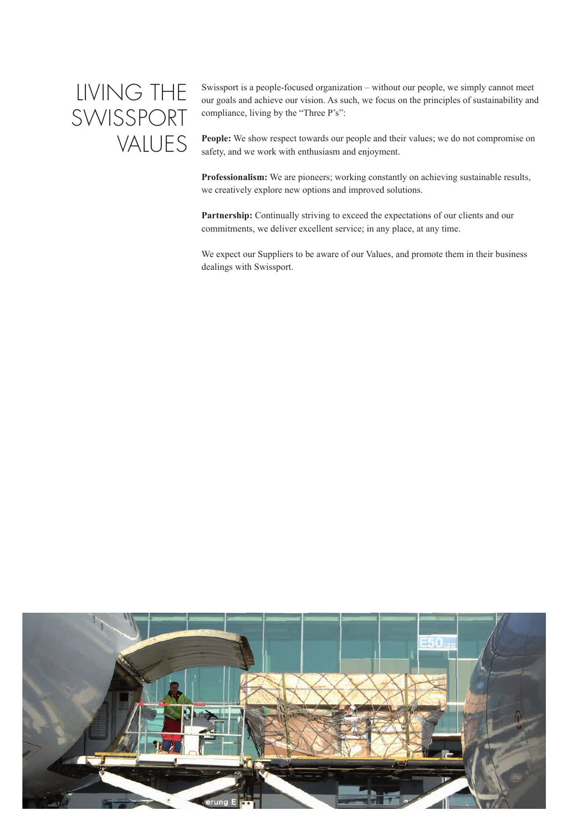### LIVING THE SWISSPORT VALUES

Swissport is a people-focused organization – without our people, we simply cannot meet our goals and achieve our vision. As such, we focus on the principles of sustainability and compliance, living by the "Three P's":

**People:** We show respect towards our people and their values; we do not compromise on safety, and we work with enthusiasm and enjoyment.

**Professionalism:** We are pioneers; working constantly on achieving sustainable results, we creatively explore new options and improved solutions.

Partnership: Continually striving to exceed the expectations of our clients and our commitments, we deliver excellent service; in any place, at any time.

We expect our Suppliers to be aware of our Values, and promote them in their business dealings with Swissport.

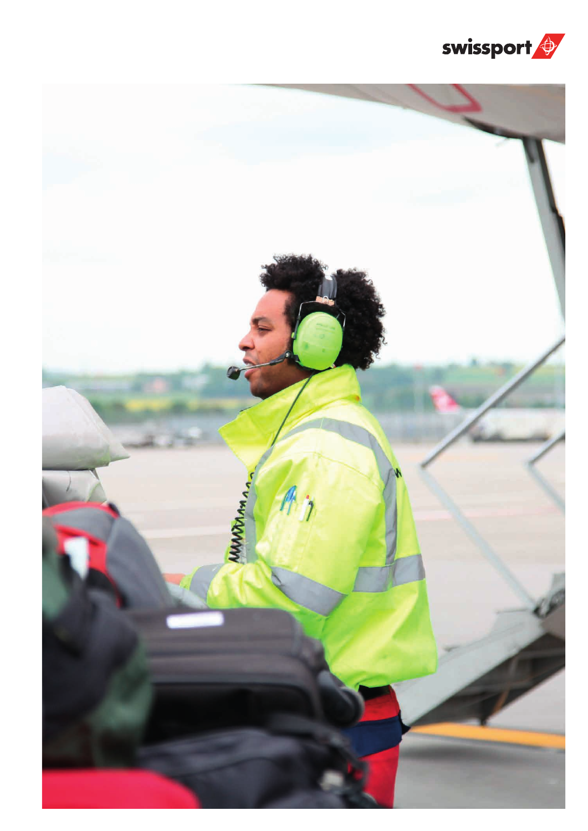